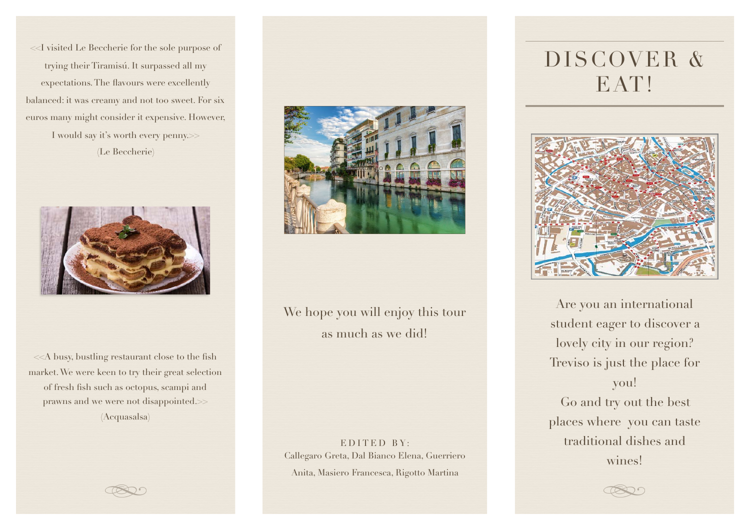<<I visited Le Beccherie for the sole purpose of trying their Tiramisú. It surpassed all my expectations. The flavours were excellently balanced: it was creamy and not too sweet. For six euros many might consider it expensive. However, I would say it's worth every penny.>> (Le Beccherie)



<<A busy, bustling restaurant close to the fish market. We were keen to try their great selection of fresh fish such as octopus, scampi and prawns and we were not disappointed.>> (Acquasalsa)



We hope you will enjoy this tour as much as we did!

EDITED BY: Callegaro Greta, Dal Bianco Elena, Guerriero Anita, Masiero Francesca, Rigotto Martina

# DISCOVER & EAT!



Are you an international student eager to discover a lovely city in our region? Treviso is just the place for you! Go and try out the best places where you can taste traditional dishes and wines!